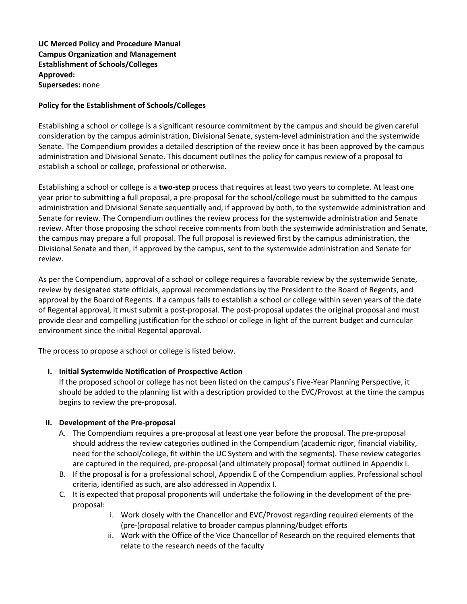**UC Merced Policy and Procedure Manual Campus Organization and Management Establishment of Schools/Colleges Approved: Supersedes:** none

## **Policy for the Establishment of Schools/Colleges**

Establishing a school or college is a significant resource commitment by the campus and should be given careful consideration by the campus administration, Divisional Senate, system-level administration and the systemwide Senate. The Compendium provides a detailed description of the review once it has been approved by the campus administration and Divisional Senate. This document outlines the policy for campus review of a proposal to establish a school or college, professional or otherwise.

Establishing a school or college is a **two-step** process that requires at least two years to complete. At least one year prior to submitting a full proposal, a pre-proposal for the school/college must be submitted to the campus administration and Divisional Senate sequentially and, if approved by both, to the systemwide administration and Senate for review. The Compendium outlines the review process for the systemwide administration and Senate review. After those proposing the school receive comments from both the systemwide administration and Senate, the campus may prepare a full proposal. The full proposal is reviewed first by the campus administration, the Divisional Senate and then, if approved by the campus, sent to the systemwide administration and Senate for review.

As per the Compendium, approval of a school or college requires a favorable review by the systemwide Senate, review by designated state officials, approval recommendations by the President to the Board of Regents, and approval by the Board of Regents. If a campus fails to establish a school or college within seven years of the date of Regental approval, it must submit a post-proposal. The post-proposal updates the original proposal and must provide clear and compelling justification for the school or college in light of the current budget and curricular environment since the initial Regental approval.

The process to propose a school or college is listed below.

# **I. Initial Systemwide Notification of Prospective Action**

If the proposed school or college has not been listed on the campus's Five-Year Planning Perspective, it should be added to the planning list with a description provided to the EVC/Provost at the time the campus begins to review the pre-proposal.

#### **II. Development of the Pre-proposal**

- A. The Compendium requires a pre-proposal at least one year before the proposal. The pre-proposal should address the review categories outlined in the Compendium (academic rigor, financial viability, need for the school/college, fit within the UC System and with the segments). These review categories are captured in the required, pre-proposal (and ultimately proposal) format outlined in Appendix I.
- B. If the proposal is for a professional school, Appendix E of the Compendium applies. Professional school criteria, identified as such, are also addressed in Appendix I.
- C. It is expected that proposal proponents will undertake the following in the development of the preproposal:
	- i. Work closely with the Chancellor and EVC/Provost regarding required elements of the (pre-)proposal relative to broader campus planning/budget efforts
	- ii. Work with the Office of the Vice Chancellor of Research on the required elements that relate to the research needs of the faculty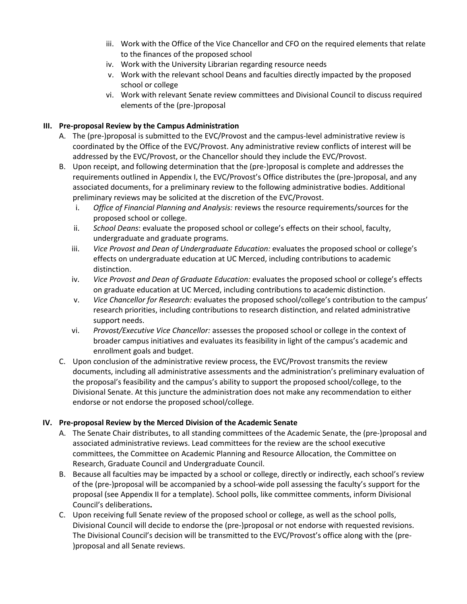- iii. Work with the Office of the Vice Chancellor and CFO on the required elements that relate to the finances of the proposed school
- iv. Work with the University Librarian regarding resource needs
- v. Work with the relevant school Deans and faculties directly impacted by the proposed school or college
- vi. Work with relevant Senate review committees and Divisional Council to discuss required elements of the (pre-)proposal

# **III. Pre-proposal Review by the Campus Administration**

- A. The (pre-)proposal is submitted to the EVC/Provost and the campus-level administrative review is coordinated by the Office of the EVC/Provost. Any administrative review conflicts of interest will be addressed by the EVC/Provost, or the Chancellor should they include the EVC/Provost.
- B. Upon receipt, and following determination that the (pre-)proposal is complete and addresses the requirements outlined in Appendix I, the EVC/Provost's Office distributes the (pre-)proposal, and any associated documents, for a preliminary review to the following administrative bodies. Additional preliminary reviews may be solicited at the discretion of the EVC/Provost.
	- i. *Office of Financial Planning and Analysis:* reviews the resource requirements/sources for the proposed school or college.
	- ii. *School Deans*: evaluate the proposed school or college's effects on their school, faculty, undergraduate and graduate programs.
	- iii. *Vice Provost and Dean of Undergraduate Education:* evaluates the proposed school or college's effects on undergraduate education at UC Merced, including contributions to academic distinction.
	- iv. *Vice Provost and Dean of Graduate Education:* evaluates the proposed school or college's effects on graduate education at UC Merced, including contributions to academic distinction.
	- v. *Vice Chancellor for Research:* evaluates the proposed school/college's contribution to the campus' research priorities, including contributions to research distinction, and related administrative support needs.
	- vi. *Provost/Executive Vice Chancellor:* assesses the proposed school or college in the context of broader campus initiatives and evaluates its feasibility in light of the campus's academic and enrollment goals and budget.
- C. Upon conclusion of the administrative review process, the EVC/Provost transmits the review documents, including all administrative assessments and the administration's preliminary evaluation of the proposal's feasibility and the campus's ability to support the proposed school/college, to the Divisional Senate. At this juncture the administration does not make any recommendation to either endorse or not endorse the proposed school/college.

# **IV. Pre-proposal Review by the Merced Division of the Academic Senate**

- A. The Senate Chair distributes, to all standing committees of the Academic Senate, the (pre-)proposal and associated administrative reviews. Lead committees for the review are the school executive committees, the Committee on Academic Planning and Resource Allocation, the Committee on Research, Graduate Council and Undergraduate Council.
- B. Because all faculties may be impacted by a school or college, directly or indirectly, each school's review of the (pre-)proposal will be accompanied by a school-wide poll assessing the faculty's support for the proposal (see Appendix II for a template). School polls, like committee comments, inform Divisional Council's deliberations**.**
- C. Upon receiving full Senate review of the proposed school or college, as well as the school polls, Divisional Council will decide to endorse the (pre-)proposal or not endorse with requested revisions. The Divisional Council's decision will be transmitted to the EVC/Provost's office along with the (pre- )proposal and all Senate reviews.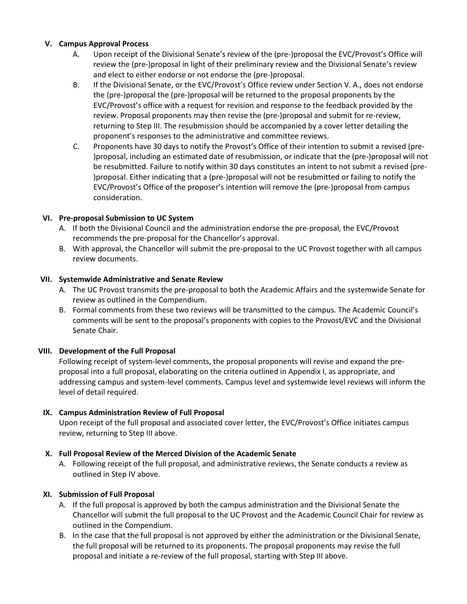### **V. Campus Approval Process**

- A. Upon receipt of the Divisional Senate's review of the (pre-)proposal the EVC/Provost's Office will review the (pre-)proposal in light of their preliminary review and the Divisional Senate's review and elect to either endorse or not endorse the (pre-)proposal.
- B. If the Divisional Senate, or the EVC/Provost's Office review under Section V. A., does not endorse the (pre-)proposal the (pre-)proposal will be returned to the proposal proponents by the EVC/Provost's office with a request for revision and response to the feedback provided by the review. Proposal proponents may then revise the (pre-)proposal and submit for re-review, returning to Step III. The resubmission should be accompanied by a cover letter detailing the proponent's responses to the administrative and committee reviews.
- C. Proponents have 30 days to notify the Provost's Office of their intention to submit a revised (pre- )proposal, including an estimated date of resubmission, or indicate that the (pre-)proposal will not be resubmitted. Failure to notify within 30 days constitutes an intent to not submit a revised (pre- )proposal. Either indicating that a (pre-)proposal will not be resubmitted or failing to notify the EVC/Provost's Office of the proposer's intention will remove the (pre-)proposal from campus consideration.

## **VI. Pre-proposal Submission to UC System**

- A. If both the Divisional Council and the administration endorse the pre-proposal, the EVC/Provost recommends the pre-proposal for the Chancellor's approval.
- B. With approval, the Chancellor will submit the pre-proposal to the UC Provost together with all campus review documents.

## **VII. Systemwide Administrative and Senate Review**

- A. The UC Provost transmits the pre-proposal to both the Academic Affairs and the systemwide Senate for review as outlined in the Compendium.
- B. Formal comments from these two reviews will be transmitted to the campus. The Academic Council's comments will be sent to the proposal's proponents with copies to the Provost/EVC and the Divisional Senate Chair.

#### **VIII. Development of the Full Proposal**

Following receipt of system-level comments, the proposal proponents will revise and expand the preproposal into a full proposal, elaborating on the criteria outlined in Appendix I, as appropriate, and addressing campus and system-level comments. Campus level and systemwide level reviews will inform the level of detail required.

# **IX. Campus Administration Review of Full Proposal**

Upon receipt of the full proposal and associated cover letter, the EVC/Provost's Office initiates campus review, returning to Step III above.

#### **X. Full Proposal Review of the Merced Division of the Academic Senate**

A. Following receipt of the full proposal, and administrative reviews, the Senate conducts a review as outlined in Step IV above.

#### **XI. Submission of Full Proposal**

- A. If the full proposal is approved by both the campus administration and the Divisional Senate the Chancellor will submit the full proposal to the UC Provost and the Academic Council Chair for review as outlined in the Compendium.
- B. In the case that the full proposal is not approved by either the administration or the Divisional Senate, the full proposal will be returned to its proponents. The proposal proponents may revise the full proposal and initiate a re-review of the full proposal, starting with Step III above.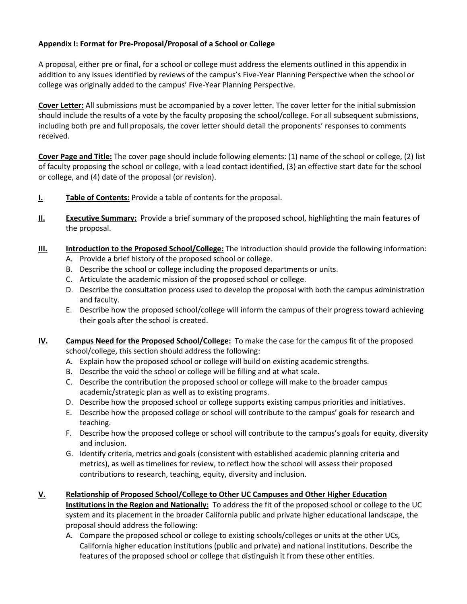# **Appendix I: Format for Pre-Proposal/Proposal of a School or College**

A proposal, either pre or final, for a school or college must address the elements outlined in this appendix in addition to any issues identified by reviews of the campus's Five-Year Planning Perspective when the school or college was originally added to the campus' Five-Year Planning Perspective.

**Cover Letter:** All submissions must be accompanied by a cover letter. The cover letter for the initial submission should include the results of a vote by the faculty proposing the school/college. For all subsequent submissions, including both pre and full proposals, the cover letter should detail the proponents' responses to comments received.

**Cover Page and Title:** The cover page should include following elements: (1) name of the school or college, (2) list of faculty proposing the school or college, with a lead contact identified, (3) an effective start date for the school or college, and (4) date of the proposal (or revision).

- **I. Table of Contents:** Provide a table of contents for the proposal.
- **II. Executive Summary:** Provide a brief summary of the proposed school, highlighting the main features of the proposal.
- **III. Introduction to the Proposed School/College:** The introduction should provide the following information:
	- A. Provide a brief history of the proposed school or college.
	- B. Describe the school or college including the proposed departments or units.
	- C. Articulate the academic mission of the proposed school or college.
	- D. Describe the consultation process used to develop the proposal with both the campus administration and faculty.
	- E. Describe how the proposed school/college will inform the campus of their progress toward achieving their goals after the school is created.
- **IV. Campus Need for the Proposed School/College:** To make the case for the campus fit of the proposed school/college, this section should address the following:
	- A. Explain how the proposed school or college will build on existing academic strengths.
	- B. Describe the void the school or college will be filling and at what scale.
	- C. Describe the contribution the proposed school or college will make to the broader campus academic/strategic plan as well as to existing programs.
	- D. Describe how the proposed school or college supports existing campus priorities and initiatives.
	- E. Describe how the proposed college or school will contribute to the campus' goals for research and teaching.
	- F. Describe how the proposed college or school will contribute to the campus's goals for equity, diversity and inclusion.
	- G. Identify criteria, metrics and goals (consistent with established academic planning criteria and metrics), as well as timelines for review, to reflect how the school will assess their proposed contributions to research, teaching, equity, diversity and inclusion.
- **V. Relationship of Proposed School/College to Other UC Campuses and Other Higher Education Institutions in the Region and Nationally:** To address the fit of the proposed school or college to the UC system and its placement in the broader California public and private higher educational landscape, the proposal should address the following:
	- A. Compare the proposed school or college to existing schools/colleges or units at the other UCs, California higher education institutions (public and private) and national institutions. Describe the features of the proposed school or college that distinguish it from these other entities.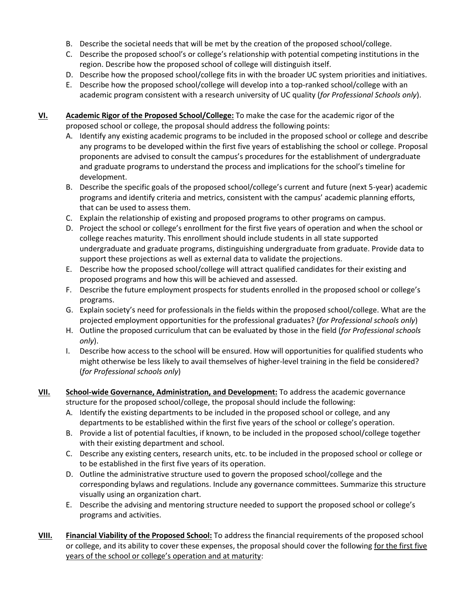- B. Describe the societal needs that will be met by the creation of the proposed school/college.
- C. Describe the proposed school's or college's relationship with potential competing institutions in the region. Describe how the proposed school of college will distinguish itself.
- D. Describe how the proposed school/college fits in with the broader UC system priorities and initiatives.
- E. Describe how the proposed school/college will develop into a top-ranked school/college with an academic program consistent with a research university of UC quality (*for Professional Schools only*).
- **VI. Academic Rigor of the Proposed School/College:** To make the case for the academic rigor of the proposed school or college, the proposal should address the following points:
	- A. Identify any existing academic programs to be included in the proposed school or college and describe any programs to be developed within the first five years of establishing the school or college. Proposal proponents are advised to consult the campus's procedures for the establishment of undergraduate and graduate programs to understand the process and implications for the school's timeline for development.
	- B. Describe the specific goals of the proposed school/college's current and future (next 5-year) academic programs and identify criteria and metrics, consistent with the campus' academic planning efforts, that can be used to assess them.
	- C. Explain the relationship of existing and proposed programs to other programs on campus.
	- D. Project the school or college's enrollment for the first five years of operation and when the school or college reaches maturity. This enrollment should include students in all state supported undergraduate and graduate programs, distinguishing undergraduate from graduate. Provide data to support these projections as well as external data to validate the projections.
	- E. Describe how the proposed school/college will attract qualified candidates for their existing and proposed programs and how this will be achieved and assessed.
	- F. Describe the future employment prospects for students enrolled in the proposed school or college's programs.
	- G. Explain society's need for professionals in the fields within the proposed school/college. What are the projected employment opportunities for the professional graduates? (*for Professional schools only*)
	- H. Outline the proposed curriculum that can be evaluated by those in the field (*for Professional schools only*).
	- I. Describe how access to the school will be ensured. How will opportunities for qualified students who might otherwise be less likely to avail themselves of higher-level training in the field be considered? (*for Professional schools only*)
- **VII. School-wide Governance, Administration, and Development:** To address the academic governance structure for the proposed school/college, the proposal should include the following:
	- A. Identify the existing departments to be included in the proposed school or college, and any departments to be established within the first five years of the school or college's operation.
	- B. Provide a list of potential faculties, if known, to be included in the proposed school/college together with their existing department and school.
	- C. Describe any existing centers, research units, etc. to be included in the proposed school or college or to be established in the first five years of its operation.
	- D. Outline the administrative structure used to govern the proposed school/college and the corresponding bylaws and regulations. Include any governance committees. Summarize this structure visually using an organization chart.
	- E. Describe the advising and mentoring structure needed to support the proposed school or college's programs and activities.
- **VIII. Financial Viability of the Proposed School:** To address the financial requirements of the proposed school or college, and its ability to cover these expenses, the proposal should cover the following for the first five years of the school or college's operation and at maturity: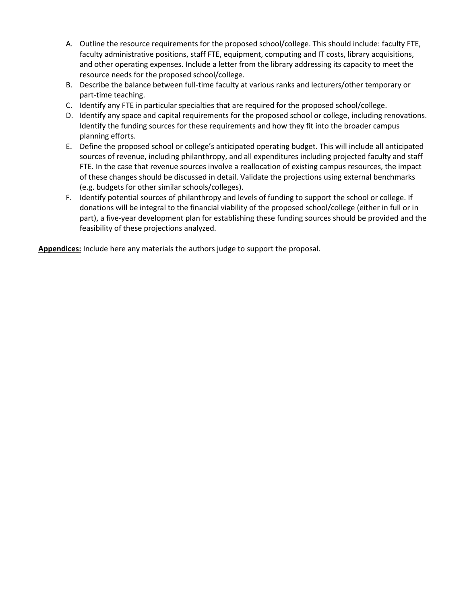- A. Outline the resource requirements for the proposed school/college. This should include: faculty FTE, faculty administrative positions, staff FTE, equipment, computing and IT costs, library acquisitions, and other operating expenses. Include a letter from the library addressing its capacity to meet the resource needs for the proposed school/college.
- B. Describe the balance between full-time faculty at various ranks and lecturers/other temporary or part-time teaching.
- C. Identify any FTE in particular specialties that are required for the proposed school/college.
- D. Identify any space and capital requirements for the proposed school or college, including renovations. Identify the funding sources for these requirements and how they fit into the broader campus planning efforts.
- E. Define the proposed school or college's anticipated operating budget. This will include all anticipated sources of revenue, including philanthropy, and all expenditures including projected faculty and staff FTE. In the case that revenue sources involve a reallocation of existing campus resources, the impact of these changes should be discussed in detail. Validate the projections using external benchmarks (e.g. budgets for other similar schools/colleges).
- F. Identify potential sources of philanthropy and levels of funding to support the school or college. If donations will be integral to the financial viability of the proposed school/college (either in full or in part), a five-year development plan for establishing these funding sources should be provided and the feasibility of these projections analyzed.

**Appendices:** Include here any materials the authors judge to support the proposal.